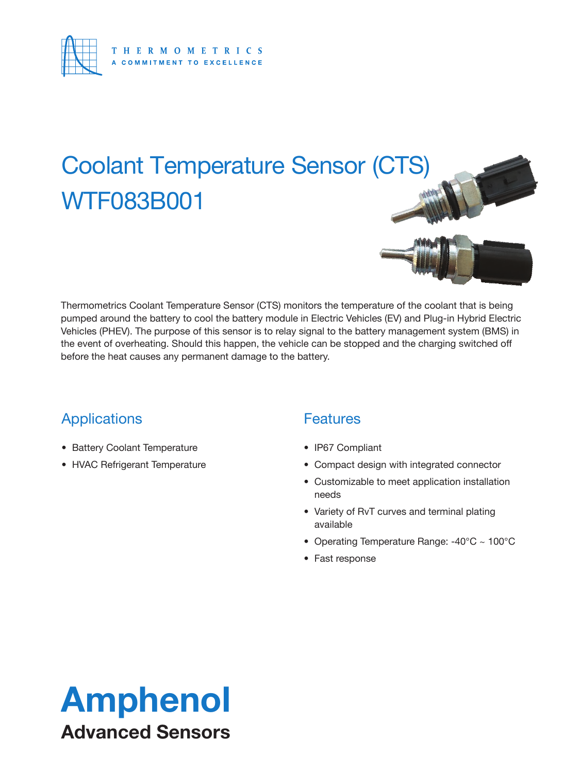

## Coolant Temperature Sensor (CTS) WTF083B001

Thermometrics Coolant Temperature Sensor (CTS) monitors the temperature of the coolant that is being pumped around the battery to cool the battery module in Electric Vehicles (EV) and Plug-in Hybrid Electric Vehicles (PHEV). The purpose of this sensor is to relay signal to the battery management system (BMS) in the event of overheating. Should this happen, the vehicle can be stopped and the charging switched off before the heat causes any permanent damage to the battery.

### **Applications**

- Battery Coolant Temperature
- HVAC Refrigerant Temperature

### **Features**

- IP67 Compliant
- Compact design with integrated connector
- Customizable to meet application installation needs
- Variety of RvT curves and terminal plating available
- Operating Temperature Range: -40°C ~ 100°C
- Fast response

### Amphenol Advanced Sensors